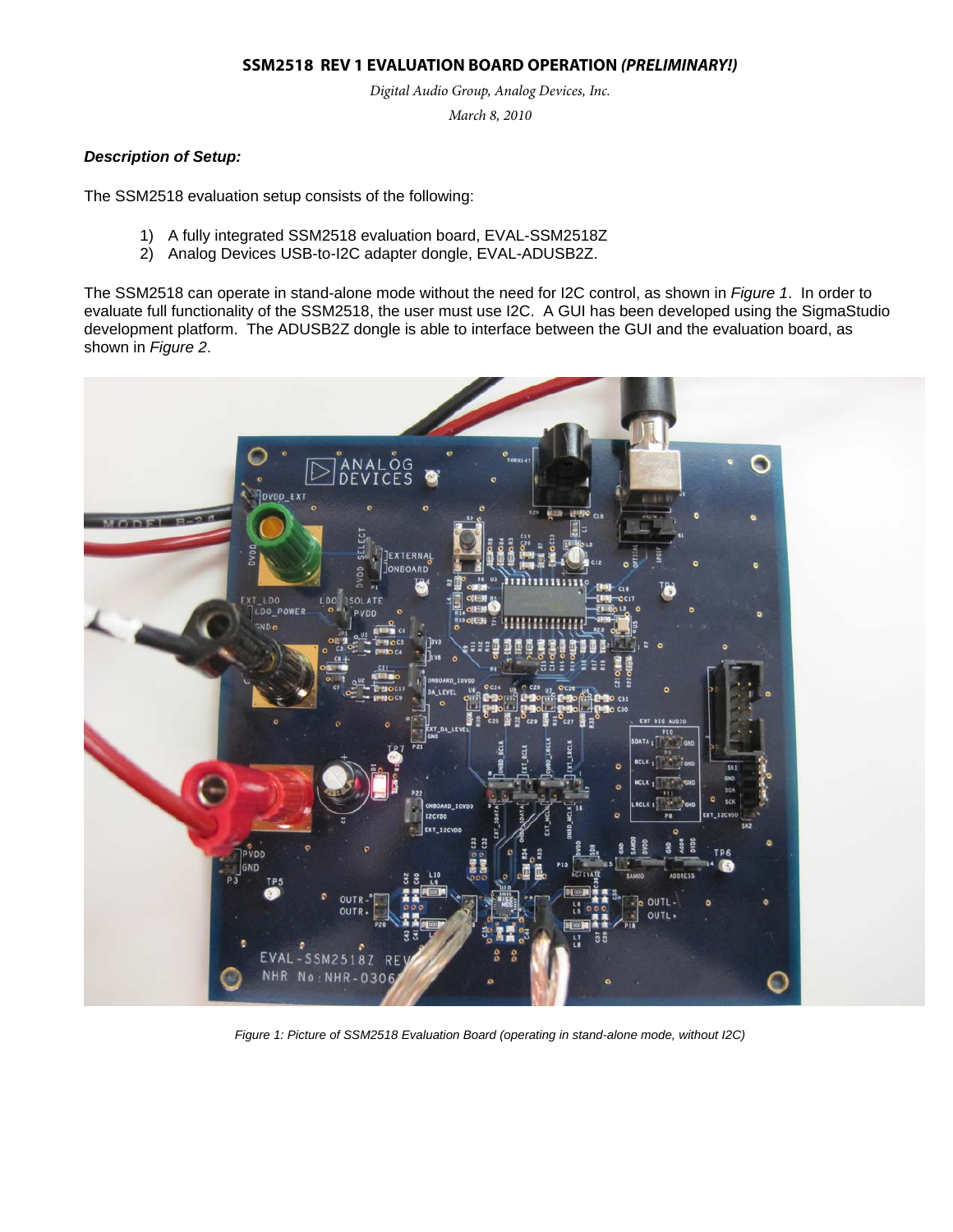### **SSM2518 REV 1 EVALUATION BOARD OPERATION (PRELIMINARY!)**

*Digital Audio Group, Analog Devices, Inc.* 

*March 8, 2010* 

### *Description of Setup:*

The SSM2518 evaluation setup consists of the following:

- 1) A fully integrated SSM2518 evaluation board, EVAL-SSM2518Z
- 2) Analog Devices USB-to-I2C adapter dongle, EVAL-ADUSB2Z.

The SSM2518 can operate in stand-alone mode without the need for I2C control, as shown in *Figure 1*. In order to evaluate full functionality of the SSM2518, the user must use I2C. A GUI has been developed using the SigmaStudio development platform. The ADUSB2Z dongle is able to interface between the GUI and the evaluation board, as shown in *Figure 2*.



*Figure 1: Picture of SSM2518 Evaluation Board (operating in stand-alone mode, without I2C)*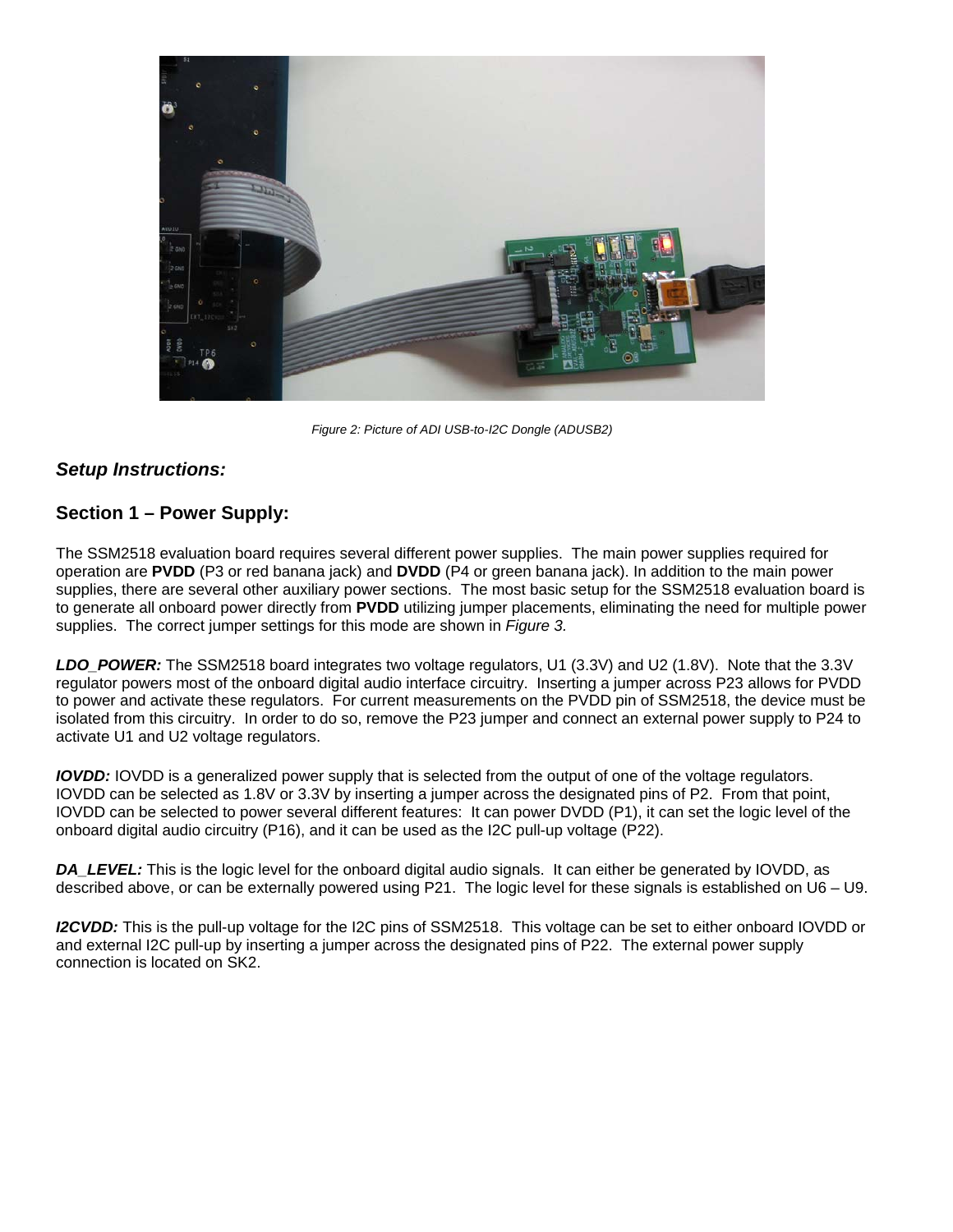

*Figure 2: Picture of ADI USB-to-I2C Dongle (ADUSB2)* 

## *Setup Instructions:*

## **Section 1 – Power Supply:**

The SSM2518 evaluation board requires several different power supplies. The main power supplies required for operation are **PVDD** (P3 or red banana jack) and **DVDD** (P4 or green banana jack). In addition to the main power supplies, there are several other auxiliary power sections. The most basic setup for the SSM2518 evaluation board is to generate all onboard power directly from **PVDD** utilizing jumper placements, eliminating the need for multiple power supplies. The correct jumper settings for this mode are shown in *Figure 3.*

*LDO\_POWER:* The SSM2518 board integrates two voltage regulators, U1 (3.3V) and U2 (1.8V). Note that the 3.3V regulator powers most of the onboard digital audio interface circuitry. Inserting a jumper across P23 allows for PVDD to power and activate these regulators. For current measurements on the PVDD pin of SSM2518, the device must be isolated from this circuitry. In order to do so, remove the P23 jumper and connect an external power supply to P24 to activate U1 and U2 voltage regulators.

*IOVDD:* IOVDD is a generalized power supply that is selected from the output of one of the voltage regulators. IOVDD can be selected as 1.8V or 3.3V by inserting a jumper across the designated pins of P2. From that point, IOVDD can be selected to power several different features: It can power DVDD (P1), it can set the logic level of the onboard digital audio circuitry (P16), and it can be used as the I2C pull-up voltage (P22).

*DA\_LEVEL:* This is the logic level for the onboard digital audio signals. It can either be generated by IOVDD, as described above, or can be externally powered using P21. The logic level for these signals is established on U6 – U9.

*I2CVDD:* This is the pull-up voltage for the I2C pins of SSM2518. This voltage can be set to either onboard IOVDD or and external I2C pull-up by inserting a jumper across the designated pins of P22. The external power supply connection is located on SK2.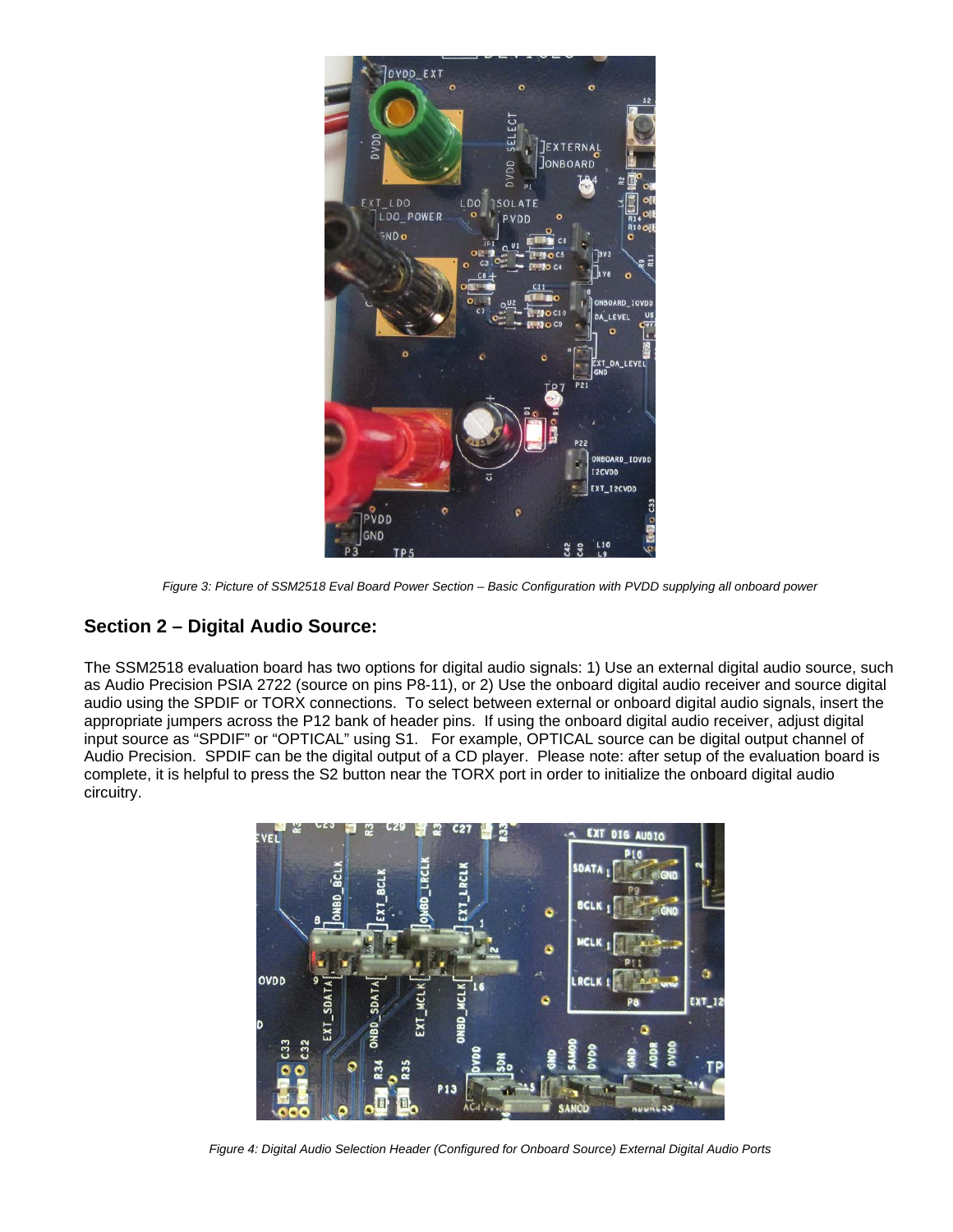

*Figure 3: Picture of SSM2518 Eval Board Power Section – Basic Configuration with PVDD supplying all onboard power* 

# **Section 2 – Digital Audio Source:**

The SSM2518 evaluation board has two options for digital audio signals: 1) Use an external digital audio source, such as Audio Precision PSIA 2722 (source on pins P8-11), or 2) Use the onboard digital audio receiver and source digital audio using the SPDIF or TORX connections. To select between external or onboard digital audio signals, insert the appropriate jumpers across the P12 bank of header pins. If using the onboard digital audio receiver, adjust digital input source as "SPDIF" or "OPTICAL" using S1. For example, OPTICAL source can be digital output channel of Audio Precision. SPDIF can be the digital output of a CD player. Please note: after setup of the evaluation board is complete, it is helpful to press the S2 button near the TORX port in order to initialize the onboard digital audio circuitry.



*Figure 4: Digital Audio Selection Header (Configured for Onboard Source) External Digital Audio Ports*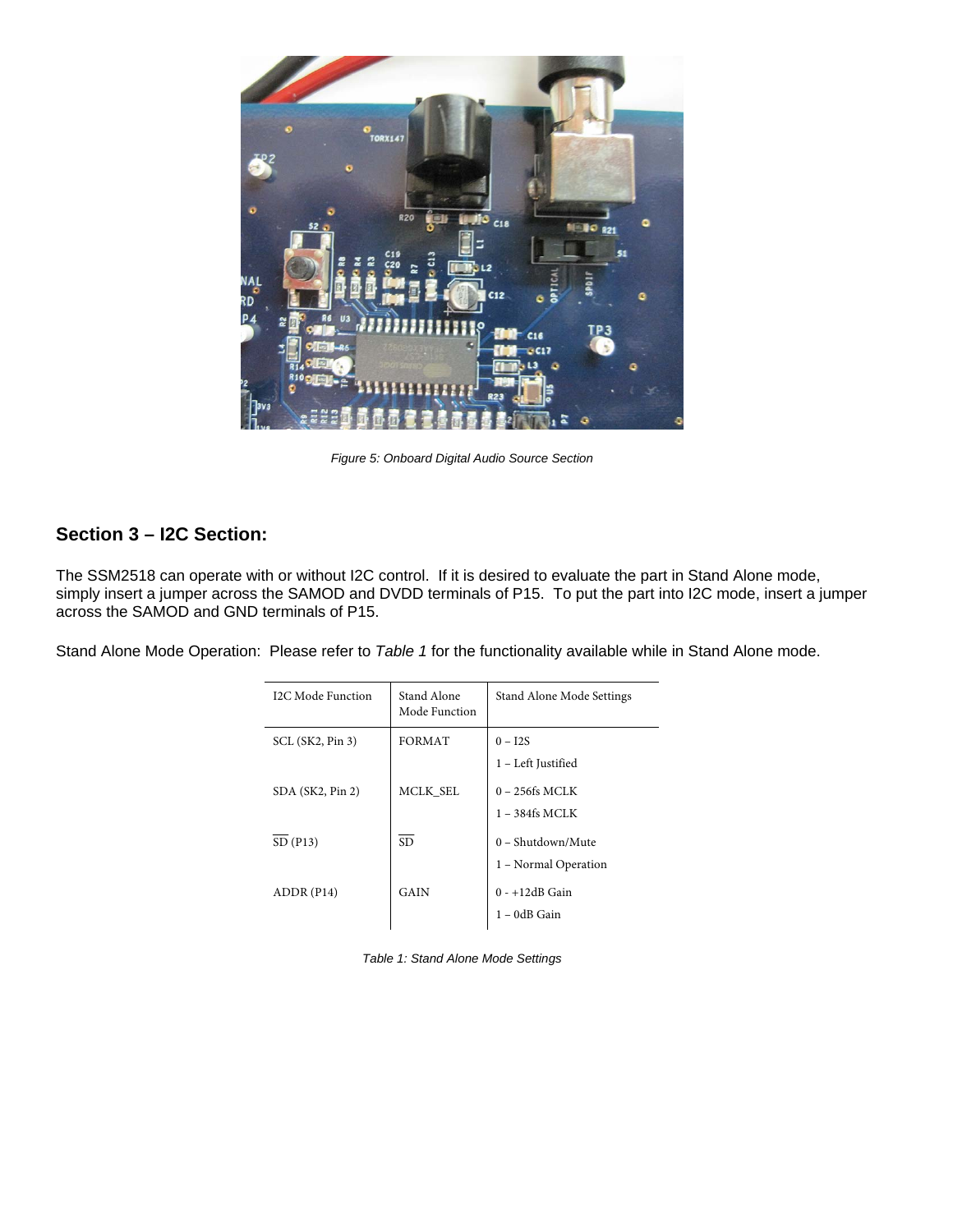

*Figure 5: Onboard Digital Audio Source Section* 

# **Section 3 – I2C Section:**

The SSM2518 can operate with or without I2C control. If it is desired to evaluate the part in Stand Alone mode, simply insert a jumper across the SAMOD and DVDD terminals of P15. To put the part into I2C mode, insert a jumper across the SAMOD and GND terminals of P15.

Stand Alone Mode Operation: Please refer to *Table 1* for the functionality available while in Stand Alone mode.

| I2C Mode Function | Stand Alone<br>Mode Function | Stand Alone Mode Settings                |
|-------------------|------------------------------|------------------------------------------|
| SCL (SK2, Pin 3)  | <b>FORMAT</b>                | $0 - I2S$<br>1 - Left Justified          |
| SDA (SK2, Pin 2)  | MCLK SEL                     | $0 - 256$ fs MCLK                        |
| SD(P13)           | <b>SD</b>                    | $1 - 384$ fs MCLK<br>$0 - Shutdown/Mute$ |
| ADDR(P14)         | GAIN                         | 1 - Normal Operation<br>$0 - +12dB$ Gain |
|                   |                              | 1 – 0dB Gain                             |

*Table 1: Stand Alone Mode Settings*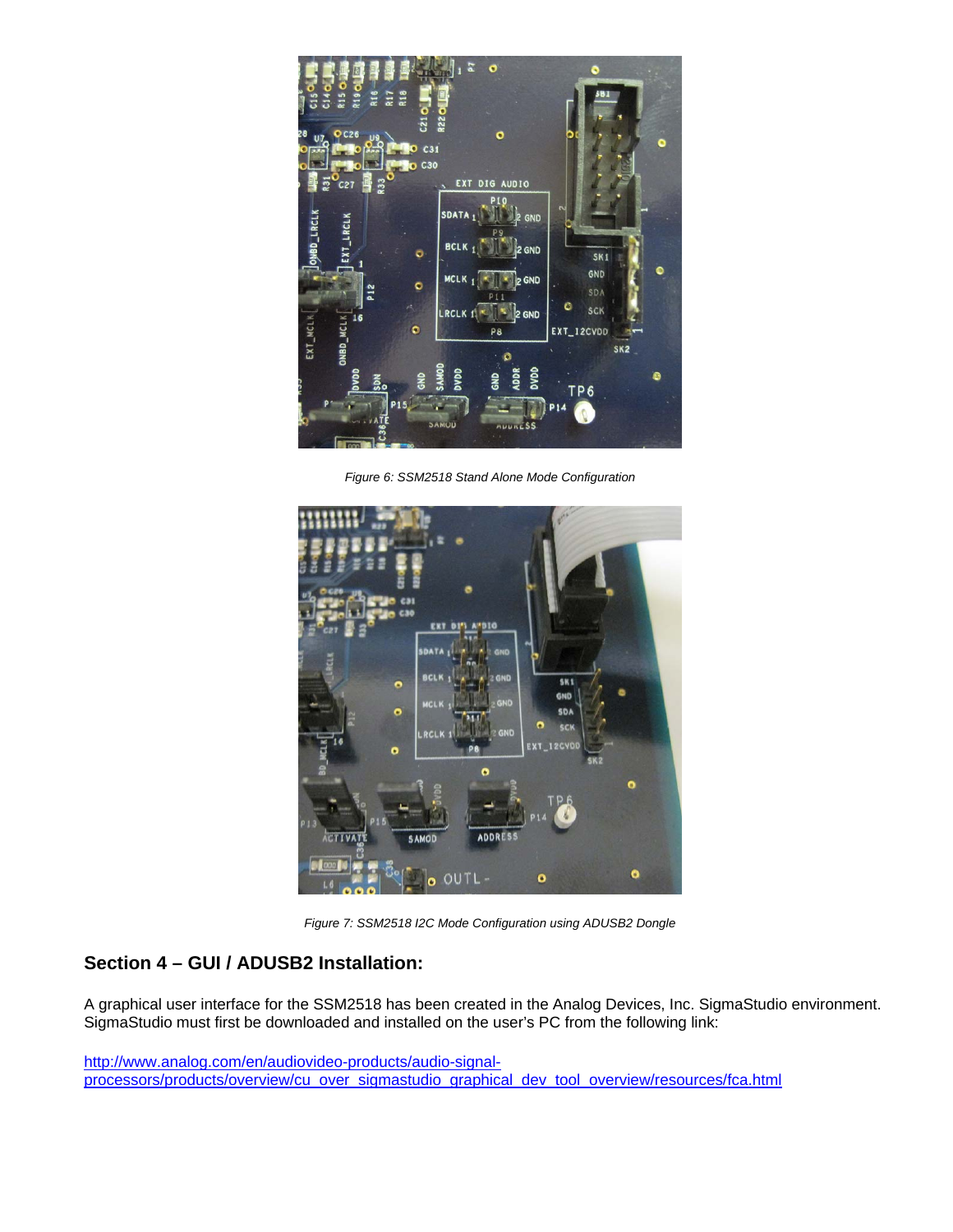

*Figure 6: SSM2518 Stand Alone Mode Configuration* 



*Figure 7: SSM2518 I2C Mode Configuration using ADUSB2 Dongle* 

# **Section 4 – GUI / ADUSB2 Installation:**

A graphical user interface for the SSM2518 has been created in the Analog Devices, Inc. SigmaStudio environment. SigmaStudio must first be downloaded and installed on the user's PC from the following link:

http://www.analog.com/en/audiovideo-products/audio-signalprocessors/products/overview/cu\_over\_sigmastudio\_graphical\_dev\_tool\_overview/resources/fca.html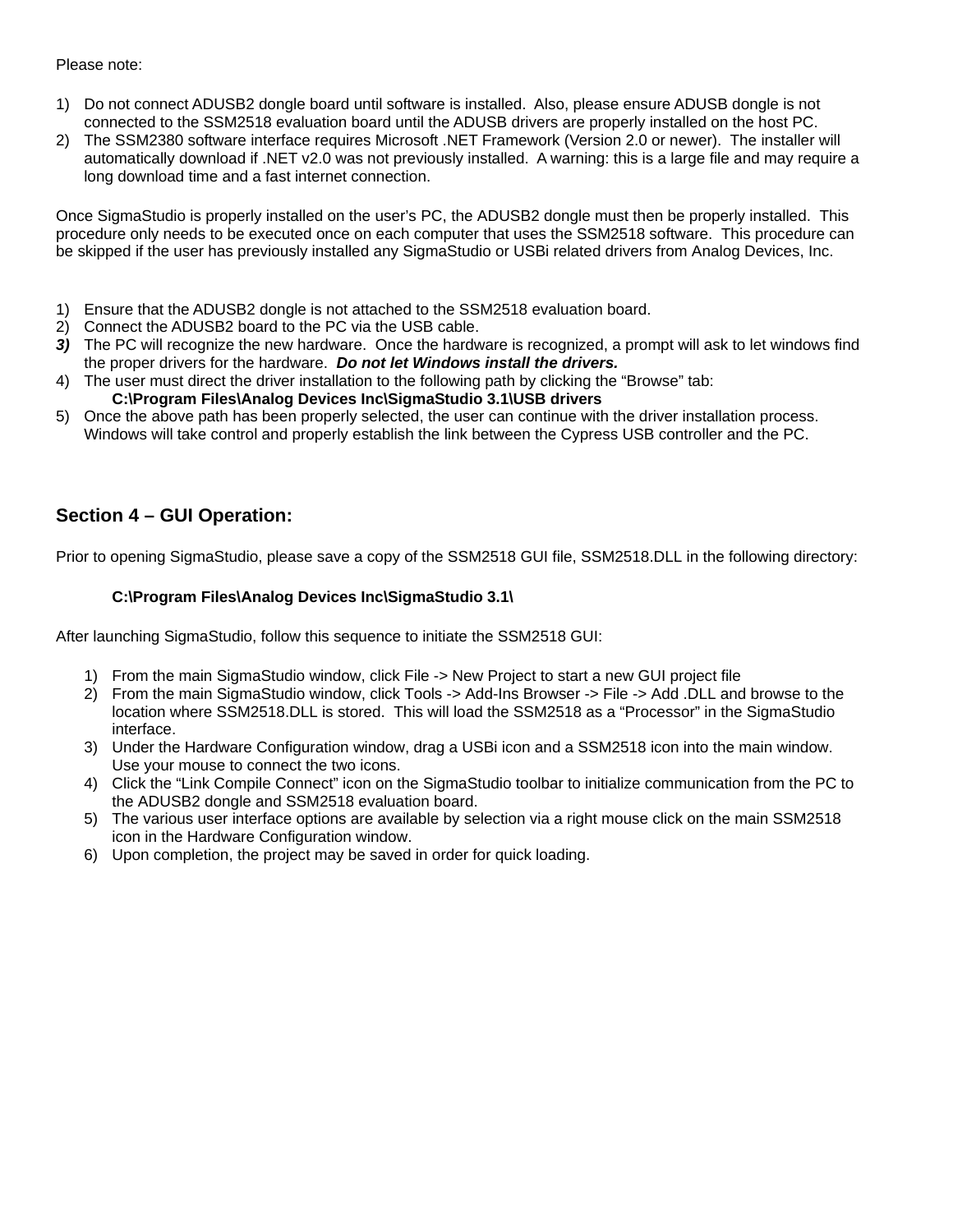### Please note:

- 1) Do not connect ADUSB2 dongle board until software is installed. Also, please ensure ADUSB dongle is not connected to the SSM2518 evaluation board until the ADUSB drivers are properly installed on the host PC.
- 2) The SSM2380 software interface requires Microsoft .NET Framework (Version 2.0 or newer). The installer will automatically download if .NET v2.0 was not previously installed. A warning: this is a large file and may require a long download time and a fast internet connection.

Once SigmaStudio is properly installed on the user's PC, the ADUSB2 dongle must then be properly installed. This procedure only needs to be executed once on each computer that uses the SSM2518 software. This procedure can be skipped if the user has previously installed any SigmaStudio or USBi related drivers from Analog Devices, Inc.

- 1) Ensure that the ADUSB2 dongle is not attached to the SSM2518 evaluation board.
- 2) Connect the ADUSB2 board to the PC via the USB cable.
- *3)* The PC will recognize the new hardware. Once the hardware is recognized, a prompt will ask to let windows find the proper drivers for the hardware. *Do not let Windows install the drivers.*
- 4) The user must direct the driver installation to the following path by clicking the "Browse" tab: **C:\Program Files\Analog Devices Inc\SigmaStudio 3.1\USB drivers**
- 5) Once the above path has been properly selected, the user can continue with the driver installation process. Windows will take control and properly establish the link between the Cypress USB controller and the PC.

## **Section 4 – GUI Operation:**

Prior to opening SigmaStudio, please save a copy of the SSM2518 GUI file, SSM2518.DLL in the following directory:

### **C:\Program Files\Analog Devices Inc\SigmaStudio 3.1\**

After launching SigmaStudio, follow this sequence to initiate the SSM2518 GUI:

- 1) From the main SigmaStudio window, click File -> New Project to start a new GUI project file
- 2) From the main SigmaStudio window, click Tools -> Add-Ins Browser -> File -> Add .DLL and browse to the location where SSM2518.DLL is stored. This will load the SSM2518 as a "Processor" in the SigmaStudio interface.
- 3) Under the Hardware Configuration window, drag a USBi icon and a SSM2518 icon into the main window. Use your mouse to connect the two icons.
- 4) Click the "Link Compile Connect" icon on the SigmaStudio toolbar to initialize communication from the PC to the ADUSB2 dongle and SSM2518 evaluation board.
- 5) The various user interface options are available by selection via a right mouse click on the main SSM2518 icon in the Hardware Configuration window.
- 6) Upon completion, the project may be saved in order for quick loading.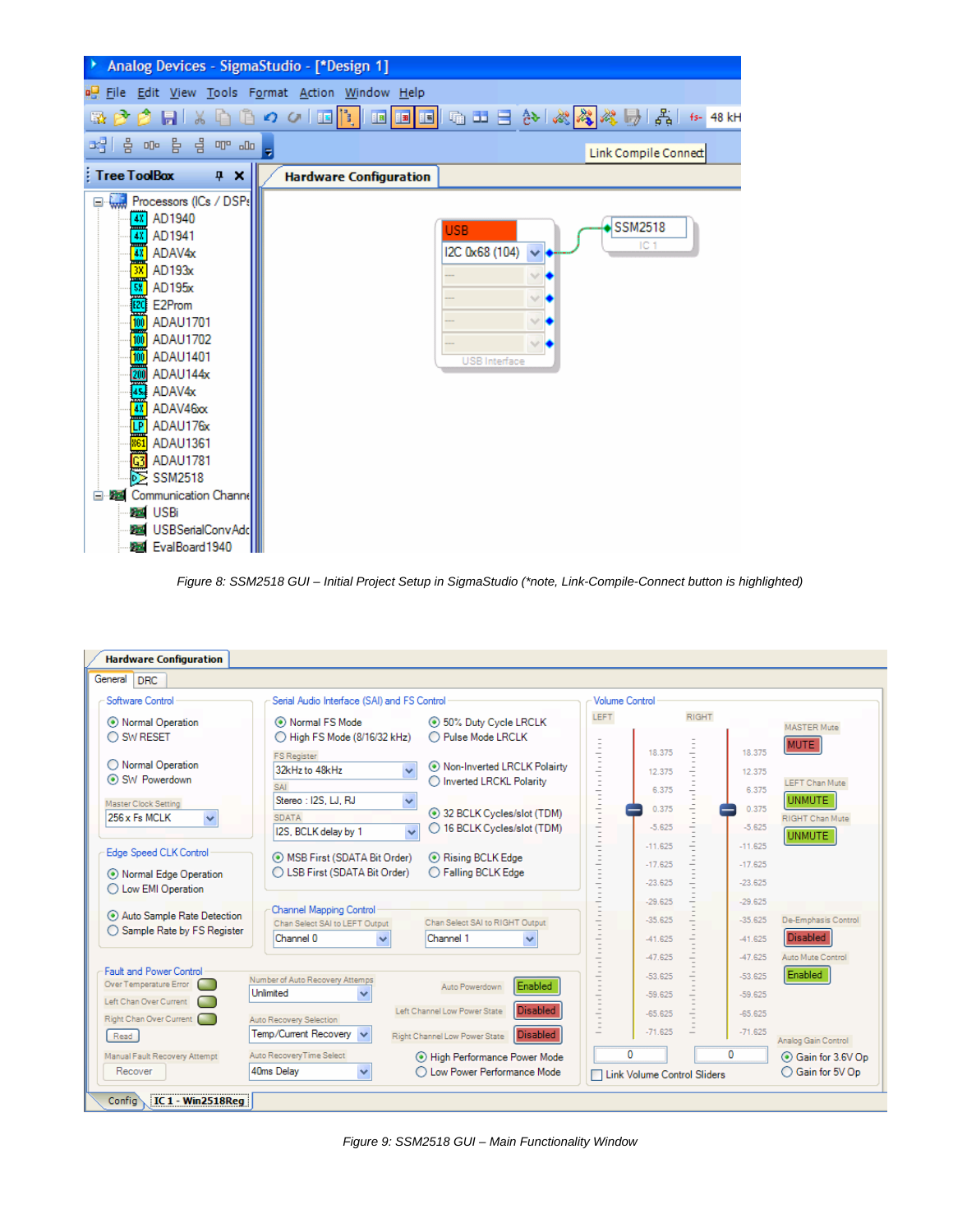| Analog Devices - SigmaStudio - [*Design 1]                                                                                                                                                                                                                                                                                                                                                                                                                                                       |                               |                                                      |                                        |  |  |  |  |
|--------------------------------------------------------------------------------------------------------------------------------------------------------------------------------------------------------------------------------------------------------------------------------------------------------------------------------------------------------------------------------------------------------------------------------------------------------------------------------------------------|-------------------------------|------------------------------------------------------|----------------------------------------|--|--|--|--|
| <b>BE File Edit View Tools Format Action Window Help</b>                                                                                                                                                                                                                                                                                                                                                                                                                                         |                               |                                                      |                                        |  |  |  |  |
| ※ ♪ ♪     ↓ ↓ ↑ ↑ ↑ ↑ ↑ □ <mark>↑   □ □ □</mark> □ □ □ ☆ ☆ ☆ ♪ ↓ ↓ ↑ ↑ ↑ ↑ ↑                                                                                                                                                                                                                                                                                                                                                                                                                     |                               |                                                      |                                        |  |  |  |  |
| Link Compile Connect                                                                                                                                                                                                                                                                                                                                                                                                                                                                             |                               |                                                      |                                        |  |  |  |  |
| <b>Tree ToolBox</b><br>$4 \times$                                                                                                                                                                                                                                                                                                                                                                                                                                                                | <b>Hardware Configuration</b> |                                                      |                                        |  |  |  |  |
| Processors (ICs / DSPs<br>AD1940<br>48<br>AD1941<br>48<br>$\overline{4}$<br>ADAV4x<br>藚<br>AD193x<br>AD133X<br><b>EXP</b><br><b>E2Prom</b><br><b>ADAU17</b><br><b>ADAU17</b><br>ADAU1701<br>ADAU1702<br>$\frac{1}{100}$<br>ADAU1401<br>ADAU14<br>ADAU144x<br><b>EXAMPLE ADAV46x</b><br><b>EXAMPLE ADAU176x</b><br><b>EXAMPLE ADAU1361</b><br><b>ADAU1781</b><br>G3<br>$\sum$ SSM2518<br>Communication Channel<br>o-<br>-54<br><b>EZ</b> USBi<br>USBSerialConvAdd<br><b>Part</b><br>EvalBoard1940 |                               | <b>USB</b><br>I2C 0x68 (104)<br><b>USB</b> Interface | <b>SSM2518</b><br>IC <sub>1</sub><br>× |  |  |  |  |

*Figure 8: SSM2518 GUI – Initial Project Setup in SigmaStudio (\*note, Link-Compile-Connect button is highlighted)*